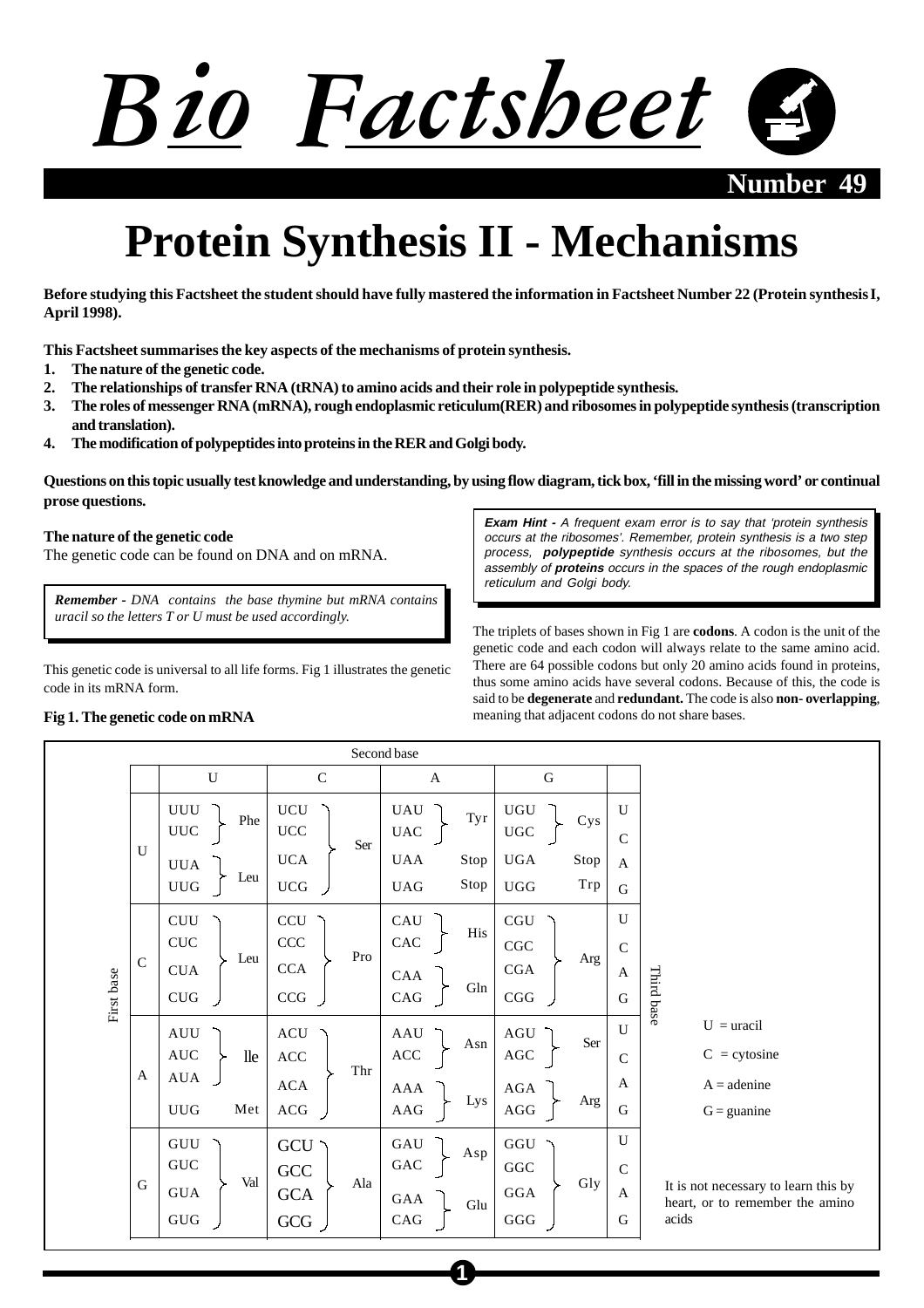

**Number 49** 

# **Protein Synthesis II - Mechanisms**

**Before studying this Factsheet the student should have fully mastered the information in Factsheet Number 22 (Protein synthesis I, April 1998).**

**This Factsheet summarises the key aspects of the mechanisms of protein synthesis.**

- **1. The nature of the genetic code.**
- **2. The relationships of transfer RNA (tRNA) to amino acids and their role in polypeptide synthesis.**
- **3. The roles of messenger RNA (mRNA), rough endoplasmic reticulum(RER) and ribosomes in polypeptide synthesis (transcription and translation).**
- **4. The modification of polypeptides into proteins in the RER and Golgi body.**

**Questions on this topic usually test knowledge and understanding, by using flow diagram, tick box, 'fill in the missing word' or continual prose questions.**

### **The nature of the genetic code**

The genetic code can be found on DNA and on mRNA.

*Remember - DNA contains the base thymine but mRNA contains uracil so the letters T or U must be used accordingly.*

This genetic code is universal to all life forms. Fig 1 illustrates the genetic code in its mRNA form.

**Exam Hint -** A frequent exam error is to say that 'protein synthesis occurs at the ribosomes'. Remember, protein synthesis is a two step process, **polypeptide** synthesis occurs at the ribosomes, but the assembly of **proteins** occurs in the spaces of the rough endoplasmic reticulum and Golgi body.

The triplets of bases shown in Fig 1 are **codons**. A codon is the unit of the genetic code and each codon will always relate to the same amino acid. There are 64 possible codons but only 20 amino acids found in proteins, thus some amino acids have several codons. Because of this, the code is said to be **degenerate** and **redundant.** The code is also **non- overlapping**, meaning that adjacent codons do not share bases.

#### Second base U C A G UUU UCU UAU UGU U Phe  $\left| \begin{array}{ccc} \circ \circ \circ \\ \circ \circ \circ \\ \circ \circ \circ \end{array} \right|$  Tyr $\left| \begin{array}{ccc} \circ \circ \circ \\ \circ \circ \circ \\ \circ \circ \circ \end{array} \right|$  Cys UUC UAC UCC UGC C Ser U UCA UAA Stop UGA Stop A UUA Leu UUG UCG UAG Stop UGG Trp G  $U$ **CUU CCU CAU CGU** His **CUC CCC CAC** CGC  $\overline{C}$ Leu Pro Arg C **CCA CGA** CUA A Third base Third base First base First base CAA Gln CUG **CCG** CAG CGG G  $U = uracil$ U **AUU** ACU AAU AGU Ser Asn AUC ACC AGC  $C = cvtosine$ lle ACC C Thr A AUA A ACA  $A = adenine$ AGA AAA Lys Arg UUG Met ACG AAG AGG G  $G =$  guanine  $U$ **GUU GCU** GAU **GGU** Asp **GUC GAC** GGC C **GCC** Val Ala Gly G It is not necessary to learn this by GUA **GCA** GGA A GAA heart, or to remember the amino Glu GUG CAG GGG G acidsGCG

**1**

# **Fig 1. The genetic code on mRNA**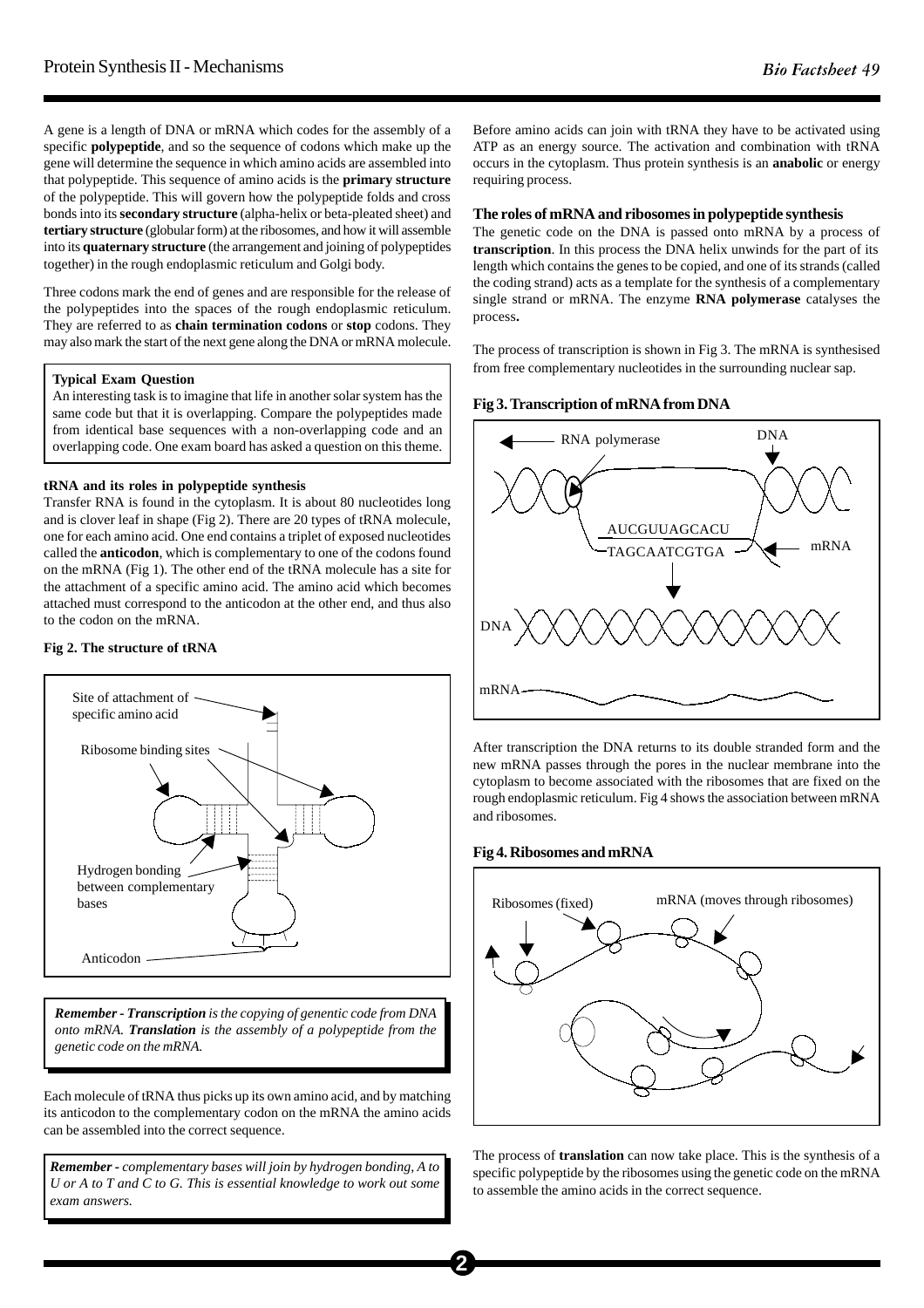A gene is a length of DNA or mRNA which codes for the assembly of a specific **polypeptide**, and so the sequence of codons which make up the gene will determine the sequence in which amino acids are assembled into that polypeptide. This sequence of amino acids is the **primary structure** of the polypeptide. This will govern how the polypeptide folds and cross bonds into its **secondary structure** (alpha-helix or beta-pleated sheet) and **tertiary structure** (globular form) at the ribosomes, and how it will assemble into its **quaternary structure** (the arrangement and joining of polypeptides together) in the rough endoplasmic reticulum and Golgi body.

Three codons mark the end of genes and are responsible for the release of the polypeptides into the spaces of the rough endoplasmic reticulum. They are referred to as **chain termination codons** or **stop** codons. They may also mark the start of the next gene along the DNA or mRNA molecule.

#### **Typical Exam Question**

An interesting task is to imagine that life in another solar system has the same code but that it is overlapping. Compare the polypeptides made from identical base sequences with a non-overlapping code and an overlapping code. One exam board has asked a question on this theme.

#### **tRNA and its roles in polypeptide synthesis**

Transfer RNA is found in the cytoplasm. It is about 80 nucleotides long and is clover leaf in shape (Fig 2). There are 20 types of tRNA molecule, one for each amino acid. One end contains a triplet of exposed nucleotides called the **anticodon**, which is complementary to one of the codons found on the mRNA (Fig 1). The other end of the tRNA molecule has a site for the attachment of a specific amino acid. The amino acid which becomes attached must correspond to the anticodon at the other end, and thus also to the codon on the mRNA.

#### **Fig 2. The structure of tRNA**



*Remember - Transcription is the copying of genentic code from DNA onto mRNA. Translation is the assembly of a polypeptide from the genetic code on the mRNA.*

Each molecule of tRNA thus picks up its own amino acid, and by matching its anticodon to the complementary codon on the mRNA the amino acids can be assembled into the correct sequence.

*Remember - complementary bases will join by hydrogen bonding, A to U or A to T and C to G. This is essential knowledge to work out some exam answers.*

Before amino acids can join with tRNA they have to be activated using ATP as an energy source. The activation and combination with tRNA occurs in the cytoplasm. Thus protein synthesis is an **anabolic** or energy requiring process.

# **The roles of mRNA and ribosomes in polypeptide synthesis**

The genetic code on the DNA is passed onto mRNA by a process of **transcription**. In this process the DNA helix unwinds for the part of its length which contains the genes to be copied, and one of its strands (called the coding strand) acts as a template for the synthesis of a complementary single strand or mRNA. The enzyme **RNA polymerase** catalyses the process**.**

The process of transcription is shown in Fig 3. The mRNA is synthesised from free complementary nucleotides in the surrounding nuclear sap.

#### **Fig 3. Transcription of mRNA from DNA**



After transcription the DNA returns to its double stranded form and the new mRNA passes through the pores in the nuclear membrane into the cytoplasm to become associated with the ribosomes that are fixed on the rough endoplasmic reticulum. Fig 4 shows the association between mRNA and ribosomes.

#### **Fig 4. Ribosomes and mRNA**



The process of **translation** can now take place. This is the synthesis of a specific polypeptide by the ribosomes using the genetic code on the mRNA to assemble the amino acids in the correct sequence.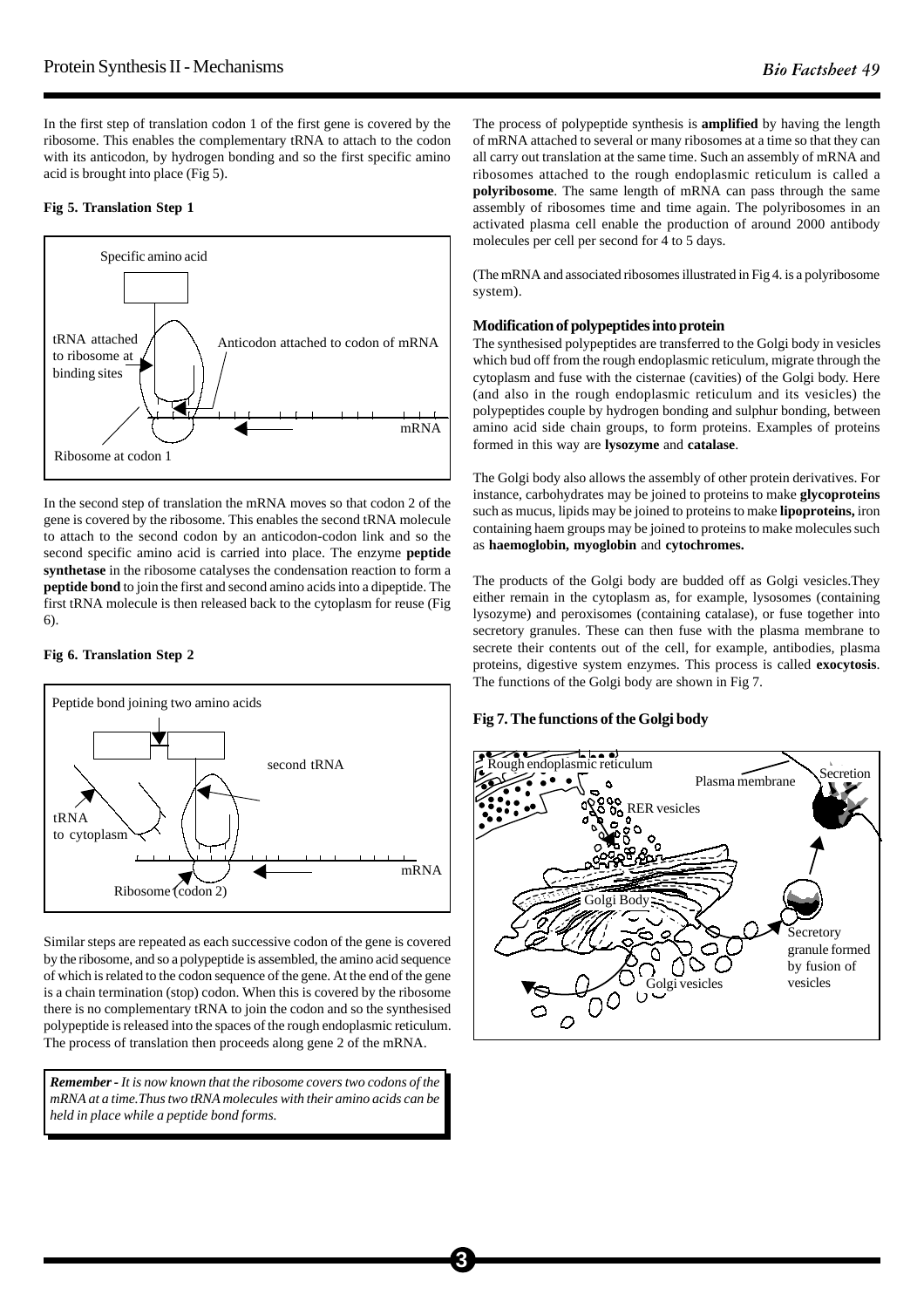In the first step of translation codon 1 of the first gene is covered by the ribosome. This enables the complementary tRNA to attach to the codon with its anticodon, by hydrogen bonding and so the first specific amino acid is brought into place (Fig 5).

# **Fig 5. Translation Step 1**



In the second step of translation the mRNA moves so that codon 2 of the gene is covered by the ribosome. This enables the second tRNA molecule to attach to the second codon by an anticodon-codon link and so the second specific amino acid is carried into place. The enzyme **peptide synthetase** in the ribosome catalyses the condensation reaction to form a **peptide bond** to join the first and second amino acids into a dipeptide. The first tRNA molecule is then released back to the cytoplasm for reuse (Fig 6).

#### **Fig 6. Translation Step 2**



Similar steps are repeated as each successive codon of the gene is covered by the ribosome, and so a polypeptide is assembled, the amino acid sequence of which is related to the codon sequence of the gene. At the end of the gene is a chain termination (stop) codon. When this is covered by the ribosome there is no complementary tRNA to join the codon and so the synthesised polypeptide is released into the spaces of the rough endoplasmic reticulum. The process of translation then proceeds along gene 2 of the mRNA.

*Remember - It is now known that the ribosome covers two codons of the mRNA at a time.Thus two tRNA molecules with their amino acids can be held in place while a peptide bond forms.*

The process of polypeptide synthesis is **amplified** by having the length of mRNA attached to several or many ribosomes at a time so that they can all carry out translation at the same time. Such an assembly of mRNA and ribosomes attached to the rough endoplasmic reticulum is called a **polyribosome**. The same length of mRNA can pass through the same assembly of ribosomes time and time again. The polyribosomes in an activated plasma cell enable the production of around 2000 antibody molecules per cell per second for 4 to 5 days.

(The mRNA and associated ribosomes illustrated in Fig 4. is a polyribosome system).

## **Modification of polypeptides into protein**

The synthesised polypeptides are transferred to the Golgi body in vesicles which bud off from the rough endoplasmic reticulum, migrate through the cytoplasm and fuse with the cisternae (cavities) of the Golgi body. Here (and also in the rough endoplasmic reticulum and its vesicles) the polypeptides couple by hydrogen bonding and sulphur bonding, between amino acid side chain groups, to form proteins. Examples of proteins formed in this way are **lysozyme** and **catalase**.

The Golgi body also allows the assembly of other protein derivatives. For instance, carbohydrates may be joined to proteins to make **glycoproteins** such as mucus, lipids may be joined to proteins to make **lipoproteins,** iron containing haem groups may be joined to proteins to make molecules such as **haemoglobin, myoglobin** and **cytochromes.**

The products of the Golgi body are budded off as Golgi vesicles.They either remain in the cytoplasm as, for example, lysosomes (containing lysozyme) and peroxisomes (containing catalase), or fuse together into secretory granules. These can then fuse with the plasma membrane to secrete their contents out of the cell, for example, antibodies, plasma proteins, digestive system enzymes. This process is called **exocytosis**. The functions of the Golgi body are shown in Fig 7.

# **Fig 7. The functions of the Golgi body**